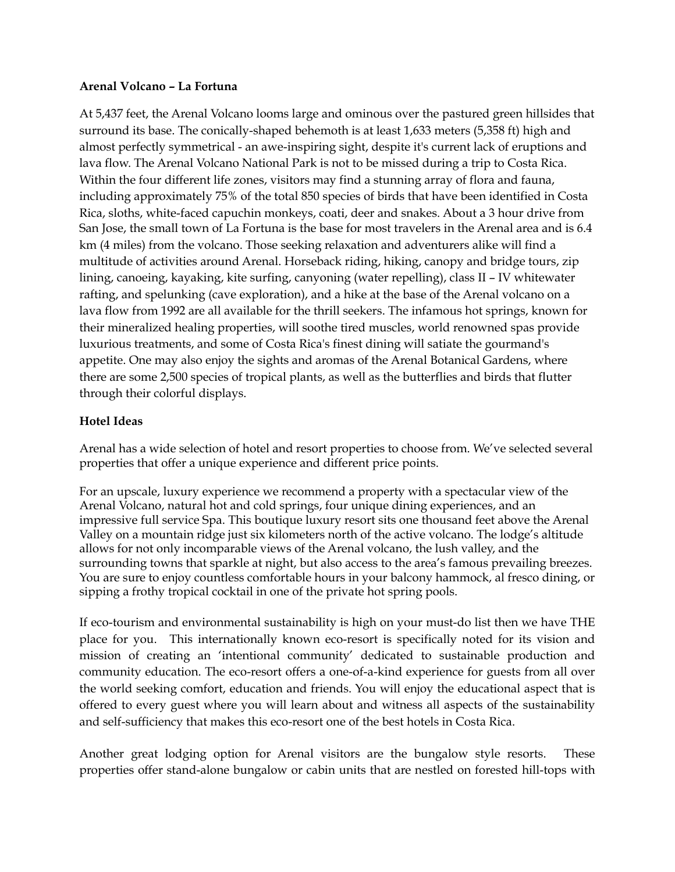#### **Arenal Volcano – La Fortuna**

At 5,437 feet, the Arenal Volcano looms large and ominous over the pastured green hillsides that surround its base. The conically-shaped behemoth is at least 1,633 meters (5,358 ft) high and almost perfectly symmetrical - an awe-inspiring sight, despite it's current lack of eruptions and lava flow. The Arenal Volcano National Park is not to be missed during a trip to Costa Rica. Within the four different life zones, visitors may find a stunning array of flora and fauna, including approximately 75% of the total 850 species of birds that have been identified in Costa Rica, sloths, white-faced capuchin monkeys, coati, deer and snakes. About a 3 hour drive from San Jose, the small town of La Fortuna is the base for most travelers in the Arenal area and is 6.4 km (4 miles) from the volcano. Those seeking relaxation and adventurers alike will find a multitude of activities around Arenal. Horseback riding, hiking, canopy and bridge tours, zip lining, canoeing, kayaking, kite surfing, canyoning (water repelling), class II – IV whitewater rafting, and spelunking (cave exploration), and a hike at the base of the Arenal volcano on a lava flow from 1992 are all available for the thrill seekers. The infamous hot springs, known for their mineralized healing properties, will soothe tired muscles, world renowned spas provide luxurious treatments, and some of Costa Rica's finest dining will satiate the gourmand's appetite. One may also enjoy the sights and aromas of the Arenal Botanical Gardens, where there are some 2,500 species of tropical plants, as well as the butterflies and birds that flutter through their colorful displays.

#### **Hotel Ideas**

Arenal has a wide selection of hotel and resort properties to choose from. We've selected several properties that offer a unique experience and different price points.

For an upscale, luxury experience we recommend a property with a spectacular view of the Arenal Volcano, natural hot and cold springs, four unique dining experiences, and an impressive full service Spa. This boutique luxury resort sits one thousand feet above the Arenal Valley on a mountain ridge just six kilometers north of the active volcano. The lodge's altitude allows for not only incomparable views of the Arenal volcano, the lush valley, and the surrounding towns that sparkle at night, but also access to the area's famous prevailing breezes. You are sure to enjoy countless comfortable hours in your balcony hammock, al fresco dining, or sipping a frothy tropical cocktail in one of the private hot spring pools.

If eco-tourism and environmental sustainability is high on your must-do list then we have THE place for you. This internationally known eco-resort is specifically noted for its vision and mission of creating an 'intentional community' dedicated to sustainable production and community education. The eco-resort offers a one-of-a-kind experience for guests from all over the world seeking comfort, education and friends. You will enjoy the educational aspect that is offered to every guest where you will learn about and witness all aspects of the sustainability and self-sufficiency that makes this eco-resort one of the best hotels in Costa Rica.

Another great lodging option for Arenal visitors are the bungalow style resorts. These properties offer stand-alone bungalow or cabin units that are nestled on forested hill-tops with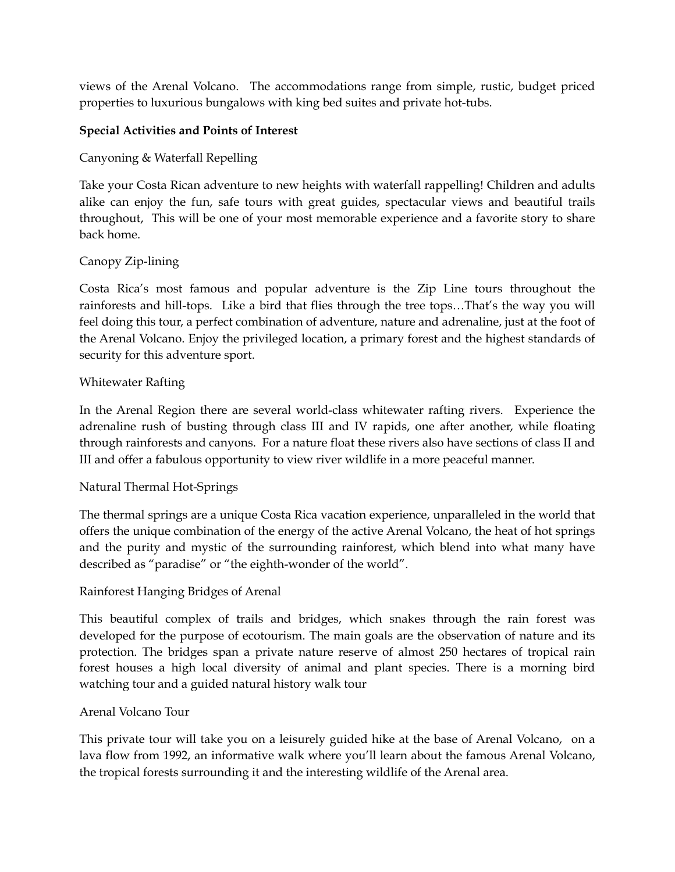views of the Arenal Volcano. The accommodations range from simple, rustic, budget priced properties to luxurious bungalows with king bed suites and private hot-tubs.

## **Special Activities and Points of Interest**

Canyoning & Waterfall Repelling

Take your Costa Rican adventure to new heights with waterfall rappelling! Children and adults alike can enjoy the fun, safe tours with great guides, spectacular views and beautiful trails throughout, This will be one of your most memorable experience and a favorite story to share back home.

# Canopy Zip-lining

Costa Rica's most famous and popular adventure is the Zip Line tours throughout the rainforests and hill-tops. Like a bird that flies through the tree tops…That's the way you will feel doing this tour, a perfect combination of adventure, nature and adrenaline, just at the foot of the Arenal Volcano. Enjoy the privileged location, a primary forest and the highest standards of security for this adventure sport.

### Whitewater Rafting

In the Arenal Region there are several world-class whitewater rafting rivers. Experience the adrenaline rush of busting through class III and IV rapids, one after another, while floating through rainforests and canyons. For a nature float these rivers also have sections of class II and III and offer a fabulous opportunity to view river wildlife in a more peaceful manner.

### Natural Thermal Hot-Springs

The thermal springs are a unique Costa Rica vacation experience, unparalleled in the world that offers the unique combination of the energy of the active Arenal Volcano, the heat of hot springs and the purity and mystic of the surrounding rainforest, which blend into what many have described as "paradise" or "the eighth-wonder of the world".

### Rainforest Hanging Bridges of Arenal

This beautiful complex of trails and bridges, which snakes through the rain forest was developed for the purpose of ecotourism. The main goals are the observation of nature and its protection. The bridges span a private nature reserve of almost 250 hectares of tropical rain forest houses a high local diversity of animal and plant species. There is a morning bird watching tour and a guided natural history walk tour

### Arenal Volcano Tour

This private tour will take you on a leisurely guided hike at the base of Arenal Volcano, on a lava flow from 1992, an informative walk where you'll learn about the famous Arenal Volcano, the tropical forests surrounding it and the interesting wildlife of the Arenal area.